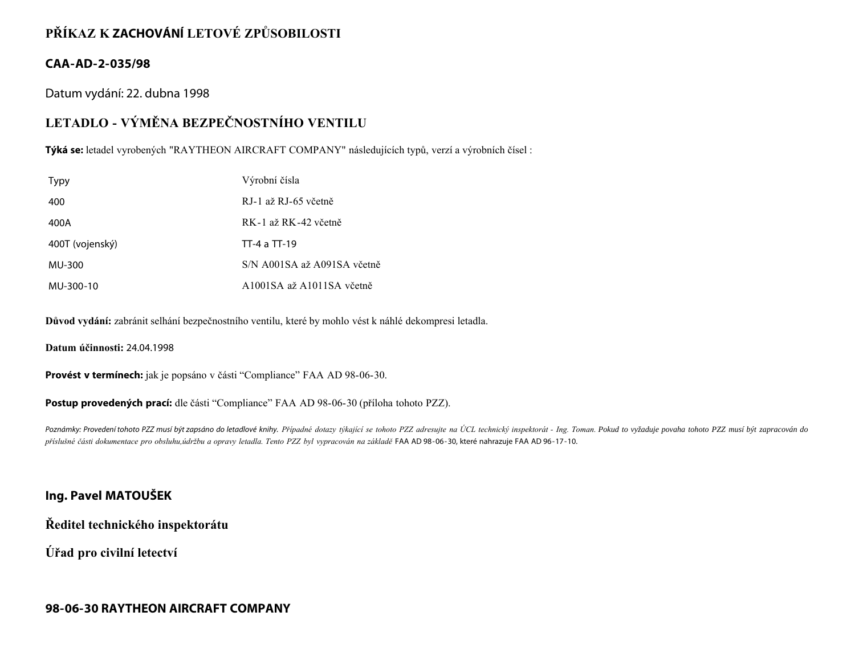## **PŘÍKAZ K ZACHOVÁNÍ LETOVÉ ZPŮSOBILOSTI**

### **CAA-AD-2-035/98**

Datum vydání: 22. dubna 1998

# **LETADLO - VÝMĚNA BEZPEČNOSTNÍHO VENTILU**

**Týká se:** letadel vyrobených "RAYTHEON AIRCRAFT COMPANY" následujících typů, verzí a výrobních čísel :

| <b>Typy</b>     | Výrobní čísla               |
|-----------------|-----------------------------|
| 400             | RJ-1 až RJ-65 včetně        |
| 400A            | RK-1 až RK-42 včetně        |
| 400T (vojenský) | TT-4 a TT-19                |
| MU-300          | S/N A001SA až A091SA včetně |
| MU-300-10       | A1001SA až A1011SA včetně   |

**Důvod vydání:** zabránit selhání bezpečnostního ventilu, které by mohlo vést k náhlé dekompresi letadla.

**Datum účinnosti:** 24.04.1998

**Provést v termínech:** jak je popsáno v části "Compliance" FAA AD 98-06-30.

**Postup provedených prací:** dle části "Compliance" FAA AD 98-06-30 (příloha tohoto PZZ).

Poznámky: Provedení tohoto PZZ musí být zapsáno do letadlové knihy. Případné dotazy týkající se tohoto PZZ adresujte na ÚCL technický inspektorát - Ing. Toman. Pokud to vyžaduje povaha tohoto PZZ musí být zapracován do *příslušné části dokumentace pro obsluhu,údržbu a opravy letadla. Tento PZZ byl vypracován na základě* FAA AD 98-06-30, které nahrazuje FAA AD 96-17-10.

### **Ing. Pavel MATOUŠEK**

**Ředitel technického inspektorátu**

**Úřad pro civilní letectví**

### **98-06-30 RAYTHEON AIRCRAFT COMPANY**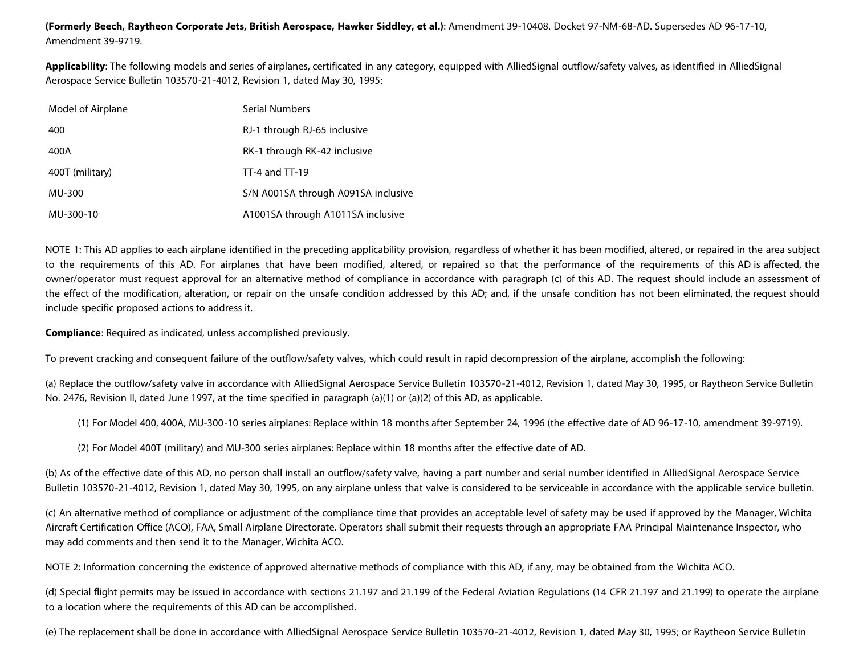**(Formerly Beech, Raytheon Corporate Jets, British Aerospace, Hawker Siddley, et al.)**: Amendment 39-10408. Docket 97-NM-68-AD. Supersedes AD 96-17-10, Amendment 39-9719.

**Applicability**: The following models and series of airplanes, certificated in any category, equipped with AlliedSignal outflow/safety valves, as identified in AlliedSignal Aerospace Service Bulletin 103570-21-4012, Revision 1, dated May 30, 1995:

| Model of Airplane | <b>Serial Numbers</b>               |
|-------------------|-------------------------------------|
| 400               | RJ-1 through RJ-65 inclusive        |
| 400A              | RK-1 through RK-42 inclusive        |
| 400T (military)   | $TT-4$ and $TT-19$                  |
| MU-300            | S/N A001SA through A091SA inclusive |
| MU-300-10         | A1001SA through A1011SA inclusive   |

NOTE 1: This AD applies to each airplane identified in the preceding applicability provision, regardless of whether it has been modified, altered, or repaired in the area subject to the requirements of this AD. For airplanes that have been modified, altered, or repaired so that the performance of the requirements of this AD is affected, the owner/operator must request approval for an alternative method of compliance in accordance with paragraph (c) of this AD. The request should include an assessment of the effect of the modification, alteration, or repair on the unsafe condition addressed by this AD; and, if the unsafe condition has not been eliminated, the request should include specific proposed actions to address it.

**Compliance**: Required as indicated, unless accomplished previously.

To prevent cracking and consequent failure of the outflow/safety valves, which could result in rapid decompression of the airplane, accomplish the following:

(a) Replace the outflow/safety valve in accordance with AlliedSignal Aerospace Service Bulletin 103570-21-4012, Revision 1, dated May 30, 1995, or Raytheon Service Bulletin No. 2476, Revision II, dated June 1997, at the time specified in paragraph (a)(1) or (a)(2) of this AD, as applicable.

(1) For Model 400, 400A, MU-300-10 series airplanes: Replace within 18 months after September 24, 1996 (the effective date of AD 96-17-10, amendment 39-9719).

(2) For Model 400T (military) and MU-300 series airplanes: Replace within 18 months after the effective date of AD.

(b) As of the effective date of this AD, no person shall install an outflow/safety valve, having a part number and serial number identified in AlliedSignal Aerospace Service Bulletin 103570-21-4012, Revision 1, dated May 30, 1995, on any airplane unless that valve is considered to be serviceable in accordance with the applicable service bulletin.

(c) An alternative method of compliance or adjustment of the compliance time that provides an acceptable level of safety may be used if approved by the Manager, Wichita Aircraft Certification Office (ACO), FAA, Small Airplane Directorate. Operators shall submit their requests through an appropriate FAA Principal Maintenance Inspector, who may add comments and then send it to the Manager, Wichita ACO.

NOTE 2: Information concerning the existence of approved alternative methods of compliance with this AD, if any, may be obtained from the Wichita ACO.

(d) Special flight permits may be issued in accordance with sections 21.197 and 21.199 of the Federal Aviation Regulations (14 CFR 21.197 and 21.199) to operate the airplane to a location where the requirements of this AD can be accomplished.

(e) The replacement shall be done in accordance with AlliedSignal Aerospace Service Bulletin 103570-21-4012, Revision 1, dated May 30, 1995; or Raytheon Service Bulletin